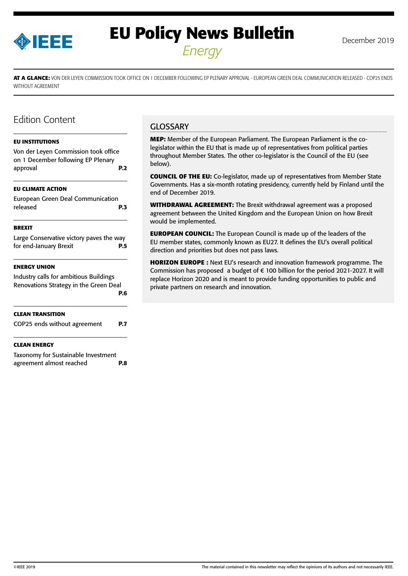

# **EU Policy News Bulletin** December 2019 *Energy*

**AT A GLANCE:** VON DER LEYEN COMMISSION TOOK OFFICE ON 1 DECEMBER FOLLOWING EP PLENARY APPROVAL - EUROPEAN GREEN DEAL COMMUNICATION RELEASED - COP25 ENDS WITHOUT AGREEMENT

# Edition Content

#### **[EU INSTITUTIONS](#page-1-0)**

[Von der Leyen Commission took office](#page-1-0)  [on 1 December following EP Plenary](#page-1-0)  [approval](#page-1-0) **P.2 [EU CLIMATE ACTION](#page-2-0)** [European Green Deal Communication](#page-2-0)  [released](#page-2-0) **P.3 [BREXIT](#page-4-0)** [Large Conservative victory paves the way](#page-4-0)  [for end-January Brexit](#page-4-0) **P.5 [ENERGY UNION](#page-5-0)** [Industry calls for ambitious Buildings](#page-5-0)  [Renovations Strategy in the Green Deal](#page-5-0)  **[P.6](#page-5-0) [CLEAN TRANSITION](#page-6-0)**  [COP25 ends without agreement](#page-6-0) **P.7 [CLEAN ENERGY](#page-7-0)** [Taxonomy for Sustainable Investment](#page-7-0)  [agreement almost reached](#page-7-0) **P.8**

# **GLOSSARY**

**MEP:** Member of the European Parliament. The European Parliament is the colegislator within the EU that is made up of representatives from political parties throughout Member States. The other co-legislator is the Council of the EU (see below).

**COUNCIL OF THE EU:** Co-legislator, made up of representatives from Member State Governments. Has a six-month rotating presidency, currently held by Finland until the end of December 2019.

**WITHDRAWAL AGREEMENT:** The Brexit withdrawal agreement was a proposed agreement between the United Kingdom and the European Union on how Brexit would be implemented.

**EUROPEAN COUNCIL:** The European Council is made up of the leaders of the EU member states, commonly known as EU27. It defines the EU's overall political direction and priorities but does not pass laws.

**HORIZON EUROPE :** Next EU's research and innovation framework programme. The Commission has proposed a budget of € 100 billion for the period 2021-2027. It will replace Horizon 2020 and is meant to provide funding opportunities to public and private partners on research and innovation.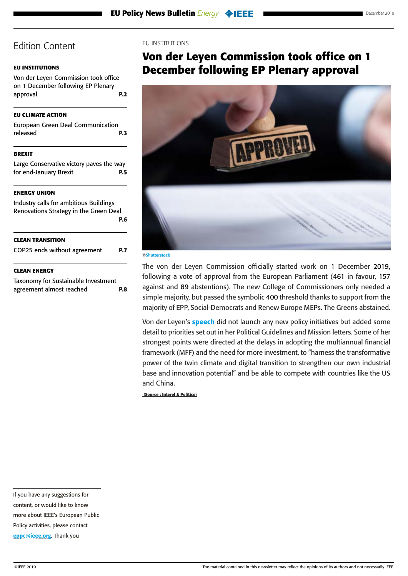# <span id="page-1-0"></span>**EU INSTITUTIONS**

Von der Leyen Commission took office on 1 December following EP Plenary approval **P.2**

## **[EU CLIMATE ACTION](#page-2-0)**

[European Green Deal Communication](#page-2-0)  [released](#page-2-0) **P.3**

# **[BREXIT](#page-4-0)**

[Large Conservative victory paves the way](#page-4-0)  [for end-January Brexit](#page-4-0) **P.5**

# **[ENERGY UNION](#page-5-0)**

| <b>CLEAN ENERGY</b>                    |     |
|----------------------------------------|-----|
| COP25 ends without agreement           | P.7 |
| <b>CLEAN TRANSITION</b>                |     |
| Renovations Strategy in the Green Deal | P.6 |
| Industry calls for ambitious Buildings |     |

[Taxonomy for Sustainable Investment](#page-7-0)  [agreement almost reached](#page-7-0) **P.8**

### EU INSTITUTIONS

# **Von der Leyen Commission took office on 1 December following EP Plenary approval**



#### ©Shutterstock

The von der Leyen Commission officially started work on 1 December 2019, following a vote of approval from the European Parliament (461 in favour, 157 against and 89 abstentions). The new College of Commissioners only needed a simple majority, but passed the symbolic 400 threshold thanks to support from the majority of EPP, Social-Democrats and Renew Europe MEPs. The Greens abstained.

Von der Leyen's **[speech](https://ec.europa.eu/info/sites/info/files/president-elect-speech-original_en.pdf)** did not launch any new policy initiatives but added some detail to priorities set out in her Political Guidelines and Mission letters. Some of her strongest points were directed at the delays in adopting the multiannual financial framework (MFF) and the need for more investment, to "harness the transformative power of the twin climate and digital transition to strengthen our own industrial base and innovation potential" and be able to compete with countries like the US and China.

 **(Source : Interel & Politico)**

content, or would like to know

more about IEEE's European Public

Policy activities, please contact

[eppc@ieee.org](mailto:eppc%40ieee.org?subject=). Thank you

If you have any suggestions for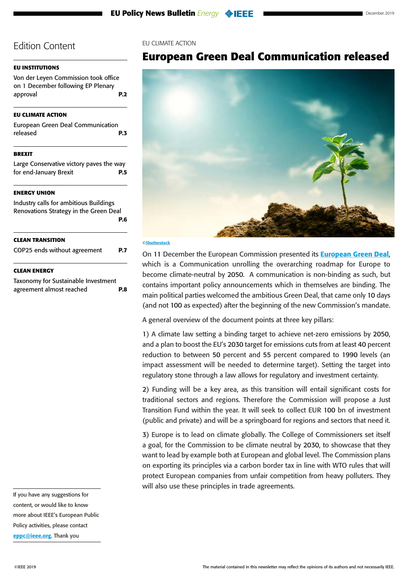# <span id="page-2-0"></span>**[EU INSTITUTIONS](#page-1-0)**

[Von der Leyen Commission took office](#page-1-0)  [on 1 December following EP Plenary](#page-1-0)  [approval](#page-1-0) **P.2**

## **EU CLIMATE ACTION**

European Green Deal Communication released **P.3**

## **[BREXIT](#page-4-0)**

[Large Conservative victory paves the way](#page-4-0)  [for end-January Brexit](#page-4-0) **P.5**

# **[ENERGY UNION](#page-5-0)**

[Industry calls for ambitious Buildings](#page-5-0)  [Renovations Strategy in the Green Deal](#page-5-0)  **[P.6](#page-5-0) [CLEAN TRANSITION](#page-6-0)**  [COP25 ends without agreement](#page-6-0) **P.7**

#### **[CLEAN ENERGY](#page-7-0)**

[Taxonomy for Sustainable Investment](#page-7-0)  [agreement almost reached](#page-7-0) **P.8** EU CLIMATE ACTION

# **European Green Deal Communication released**



#### ©Shutterstock

On 11 December the European Commission presented its **[European Green Deal](https://ec.europa.eu/info/publications/communication-european-green-deal_en)**, which is a Communication unrolling the overarching roadmap for Europe to become climate-neutral by 2050. A communication is non-binding as such, but contains important policy announcements which in themselves are binding. The main political parties welcomed the ambitious Green Deal, that came only 10 days (and not 100 as expected) after the beginning of the new Commission's mandate.

A general overview of the document points at three key pillars:

1) A climate law setting a binding target to achieve net-zero emissions by 2050, and a plan to boost the EU's 2030 target for emissions cuts from at least 40 percent reduction to between 50 percent and 55 percent compared to 1990 levels (an impact assessment will be needed to determine target). Setting the target into regulatory stone through a law allows for regulatory and investment certainty.

2) Funding will be a key area, as this transition will entail significant costs for traditional sectors and regions. Therefore the Commission will propose a Just Transition Fund within the year. It will seek to collect EUR 100 bn of investment (public and private) and will be a springboard for regions and sectors that need it.

3) Europe is to lead on climate globally. The College of Commissioners set itself a goal, for the Commission to be climate neutral by 2030, to showcase that they want to lead by example both at European and global level. The Commission plans on exporting its principles via a carbon border tax in line with WTO rules that will protect European companies from unfair competition from heavy polluters. They will also use these principles in trade agreements.

If you have any suggestions for content, or would like to know more about IEEE's European Public Policy activities, please contact [eppc@ieee.org](mailto:eppc%40ieee.org?subject=). Thank you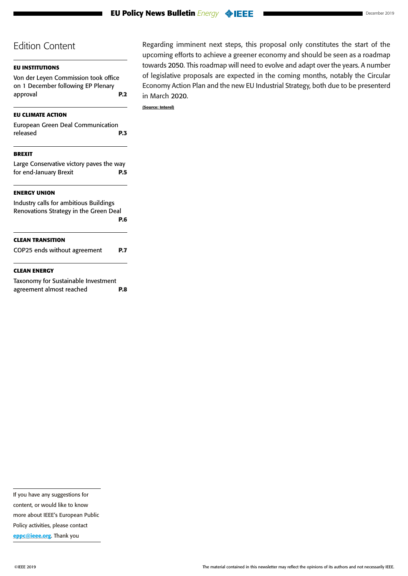# **[EU INSTITUTIONS](#page-1-0)**

[Von der Leyen Commission took office](#page-1-0)  [on 1 December following EP Plenary](#page-1-0)  [approval](#page-1-0) **P.2**

# **[EU CLIMATE ACTION](#page-2-0)**

| European Green Deal Communication |            |
|-----------------------------------|------------|
| released                          | <b>P.3</b> |
|                                   |            |

# **[BREXIT](#page-4-0)**

[Large Conservative victory paves the way](#page-4-0)  [for end-January Brexit](#page-4-0) **P.5**

# **[ENERGY UNION](#page-5-0)**

# [Industry calls for ambitious Buildings](#page-5-0)  [Renovations Strategy in the Green Deal](#page-5-0)  **[P.6](#page-5-0) [CLEAN TRANSITION](#page-6-0)**  [COP25 ends without agreement](#page-6-0) **P.7**

#### **[CLEAN ENERGY](#page-7-0)**

| Taxonomy for Sustainable Investment |            |
|-------------------------------------|------------|
| agreement almost reached            | <b>P.8</b> |

Regarding imminent next steps, this proposal only constitutes the start of the upcoming efforts to achieve a greener economy and should be seen as a roadmap towards 2050. This roadmap will need to evolve and adapt over the years. A number of legislative proposals are expected in the coming months, notably the Circular Economy Action Plan and the new EU Industrial Strategy, both due to be presenterd in March 2020.

**(Source: Interel)**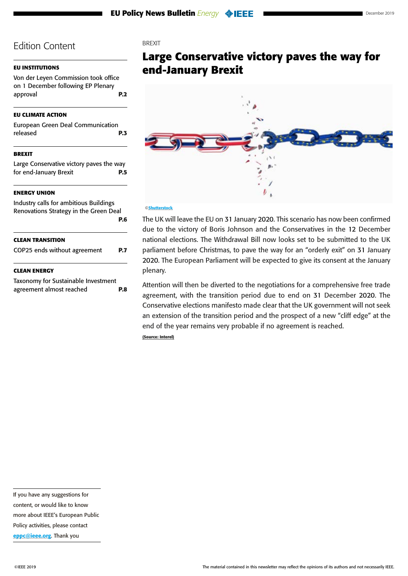# <span id="page-4-0"></span>**[EU INSTITUTIONS](#page-1-0)**

[Von der Leyen Commission took office](#page-1-0)  [on 1 December following EP Plenary](#page-1-0)  [approval](#page-1-0) **P.2**

## **[EU CLIMATE ACTION](#page-2-0)**

[European Green Deal Communication](#page-2-0)  [released](#page-2-0) **P.3**

# **BREXIT**

Large Conservative victory paves the way for end-January Brexit **P.5**

#### **[ENERGY UNION](#page-5-0)**

| <b>CLEAN ENERGY</b>                    |     |
|----------------------------------------|-----|
| COP25 ends without agreement           | P.7 |
| <b>CLEAN TRANSITION</b>                |     |
| Renovations Strategy in the Green Deal | P.6 |
| Industry calls for ambitious Buildings |     |

## [Taxonomy for Sustainable Investment](#page-7-0)  [agreement almost reached](#page-7-0) **P.8**

# **BREXIT**

**Large Conservative victory paves the way for end-January Brexit**



#### ©Shutterstock

The UK will leave the EU on 31 January 2020. This scenario has now been confirmed due to the victory of Boris Johnson and the Conservatives in the 12 December national elections. The Withdrawal Bill now looks set to be submitted to the UK parliament before Christmas, to pave the way for an "orderly exit" on 31 January 2020. The European Parliament will be expected to give its consent at the January plenary.

Attention will then be diverted to the negotiations for a comprehensive free trade agreement, with the transition period due to end on 31 December 2020. The Conservative elections manifesto made clear that the UK government will not seek an extension of the transition period and the prospect of a new "cliff edge" at the end of the year remains very probable if no agreement is reached. **(Source: Interel)**

If you have any suggestions for content, or would like to know more about IEEE's European Public Policy activities, please contact

[eppc@ieee.org](mailto:eppc%40ieee.org?subject=). Thank you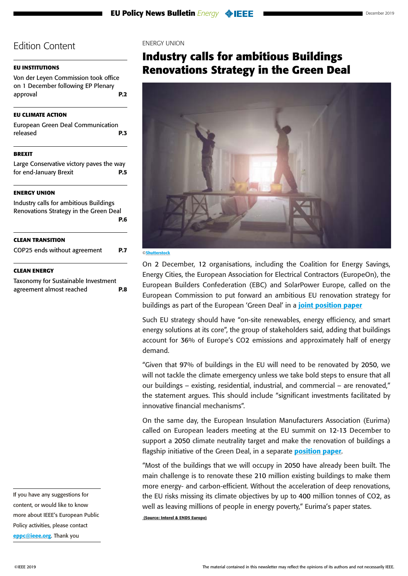#### <span id="page-5-0"></span>**[EU INSTITUTIONS](#page-1-0)**

[Von der Leyen Commission took office](#page-1-0)  [on 1 December following EP Plenary](#page-1-0)  [approval](#page-1-0) **P.2**

#### **[EU CLIMATE ACTION](#page-2-0)**

[European Green Deal Communication](#page-2-0)  [released](#page-2-0) **P.3**

#### **[BREXIT](#page-4-0)**

[Large Conservative victory paves the way](#page-4-0)  [for end-January Brexit](#page-4-0) **P.5**

#### **ENERGY UNION**

Industry calls for ambitious Buildings Renovations Strategy in the Green Deal **P.6 [CLEAN TRANSITION](#page-6-0)**  [COP25 ends without agreement](#page-6-0) **P.7**

#### **[CLEAN ENERGY](#page-7-0)**

[Taxonomy for Sustainable Investment](#page-7-0)  [agreement almost reached](#page-7-0) **P.8** ENERGY UNION

# **Industry calls for ambitious Buildings Renovations Strategy in the Green Deal**



#### ©Shutterstock

On 2 December, 12 organisations, including the Coalition for Energy Savings, Energy Cities, the European Association for Electrical Contractors (EuropeOn), the European Builders Confederation (EBC) and SolarPower Europe, called on the European Commission to put forward an ambitious EU renovation strategy for buildings as part of the European 'Green Deal' in a *[joint position paper](http://energycoalition.eu/sites/default/files/Joint-Statement-Better-Buildings_0.pdf)* 

Such EU strategy should have "on-site renewables, energy efficiency, and smart energy solutions at its core", the group of stakeholders said, adding that buildings account for 36% of Europe's CO2 emissions and approximately half of energy demand.

"Given that 97% of buildings in the EU will need to be renovated by 2050, we will not tackle the climate emergency unless we take bold steps to ensure that all our buildings – existing, residential, industrial, and commercial – are renovated," the statement argues. This should include "significant investments facilitated by innovative financial mechanisms".

On the same day, the European Insulation Manufacturers Association (Eurima) called on European leaders meeting at the EU summit on 12-13 December to support a 2050 climate neutrality target and make the renovation of buildings a flagship initiative of the Green Deal, in a separate **[position paper](https://www.eurima.org/mediacentre/383/128/A-climate-neutral-building-stock.html)**.

"Most of the buildings that we will occupy in 2050 have already been built. The main challenge is to renovate these 210 million existing buildings to make them more energy- and carbon-efficient. Without the acceleration of deep renovations, the EU risks missing its climate objectives by up to 400 million tonnes of CO2, as well as leaving millions of people in energy poverty," Eurima's paper states.

 **(Source: Interel & ENDS Europe)**

If you have any suggestions for content, or would like to know more about IEEE's European Public Policy activities, please contact [eppc@ieee.org](mailto:eppc%40ieee.org?subject=). Thank you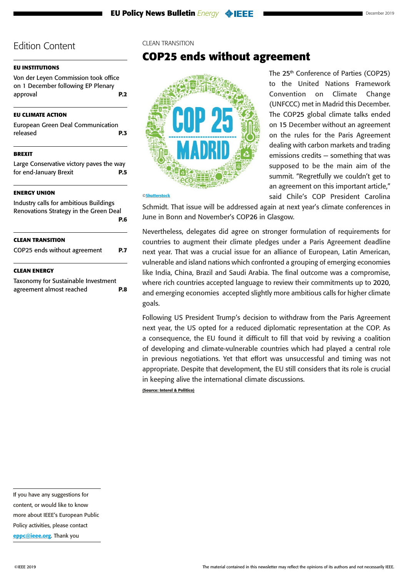# <span id="page-6-0"></span>**[EU INSTITUTIONS](#page-1-0)**

[Von der Leyen Commission took office](#page-1-0)  [on 1 December following EP Plenary](#page-1-0)  [approval](#page-1-0) **P.2**

## **[EU CLIMATE ACTION](#page-2-0)**

| European Green Deal Communication |            |
|-----------------------------------|------------|
| released                          | <b>P.3</b> |

## **[BREXIT](#page-4-0)**

[Large Conservative victory paves the way](#page-4-0)  [for end-January Brexit](#page-4-0) **P.5**

# **[ENERGY UNION](#page-5-0)**

| Industry calls for ambitious Buildings<br>Renovations Strategy in the Green Deal |     |
|----------------------------------------------------------------------------------|-----|
| <b>CLEAN TRANSITION</b>                                                          | P.6 |
| COP25 ends without agreement                                                     |     |
| <b>CLEAN ENERGY</b>                                                              |     |

[Taxonomy for Sustainable Investment](#page-7-0)  [agreement almost reached](#page-7-0) **P.8** CLEAN TRANSITION

# **COP25 ends without agreement**



to the United Nations Framework Convention on Climate Change (UNFCCC) met in Madrid this December. The COP25 global climate talks ended on 15 December without an agreement on the rules for the Paris Agreement dealing with carbon markets and trading emissions credits — something that was supposed to be the main aim of the summit. "Regretfully we couldn't get to an agreement on this important article," said Chile's COP President Carolina

The 25<sup>th</sup> Conference of Parties (COP25)

Schmidt. That issue will be addressed again at next year's climate conferences in June in Bonn and November's COP26 in Glasgow.

Nevertheless, delegates did agree on stronger formulation of requirements for countries to augment their climate pledges under a Paris Agreement deadline next year. That was a crucial issue for an alliance of European, Latin American, vulnerable and island nations which confronted a grouping of emerging economies like India, China, Brazil and Saudi Arabia. The final outcome was a compromise, where rich countries accepted language to review their commitments up to 2020, and emerging economies accepted slightly more ambitious calls for higher climate goals.

Following US President Trump's decision to withdraw from the Paris Agreement next year, the US opted for a reduced diplomatic representation at the COP. As a consequence, the EU found it difficult to fill that void by reviving a coalition of developing and climate-vulnerable countries which had played a central role in previous negotiations. Yet that effort was unsuccessful and timing was not appropriate. Despite that development, the EU still considers that its role is crucial in keeping alive the international climate discussions.

**(Source: Interel & Politico)**

content, or would like to know

more about IEEE's European Public

Policy activities, please contact

[eppc@ieee.org](mailto:eppc%40ieee.org?subject=). Thank you

If you have any suggestions for